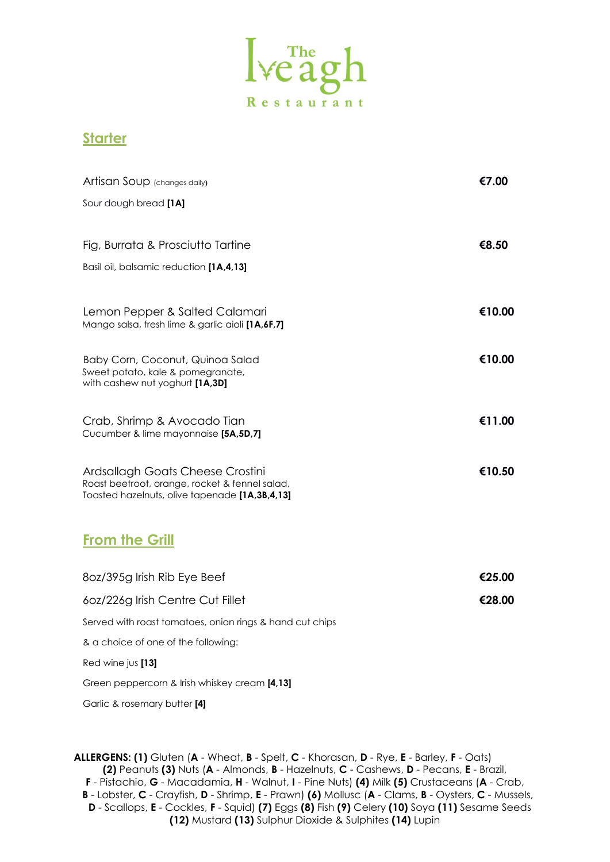

## **Starter**

| Artisan Soup (changes daily)                                                                     | €7.00  |
|--------------------------------------------------------------------------------------------------|--------|
| Sour dough bread [1A]                                                                            |        |
|                                                                                                  |        |
| Fig, Burrata & Prosciutto Tartine                                                                | €8.50  |
| Basil oil, balsamic reduction [1A,4,13]                                                          |        |
|                                                                                                  |        |
| Lemon Pepper & Salted Calamari<br>Mango salsa, fresh lime & garlic aioli [1A,6F,7]               | €10.00 |
|                                                                                                  |        |
| Baby Corn, Coconut, Quinoa Salad<br>Sweet potato, kale & pomegranate,                            | €10.00 |
| with cashew nut yoghurt [1A,3D]                                                                  |        |
| Crab, Shrimp & Avocado Tian                                                                      | €11.00 |
| Cucumber & lime mayonnaise [5A,5D,7]                                                             |        |
| Ardsallagh Goats Cheese Crostini                                                                 | €10.50 |
| Roast beetroot, orange, rocket & fennel salad,<br>Toasted hazelnuts, olive tapenade [1A,3B,4,13] |        |
|                                                                                                  |        |
| <b>From the Grill</b>                                                                            |        |
|                                                                                                  |        |
| 80z/395g Irish Rib Eye Beef                                                                      | €25.00 |
| 60z/226g Irish Centre Cut Fillet                                                                 | €28.00 |
| Served with roast tomatoes, onion rings & hand cut chips                                         |        |
| & a choice of one of the following:                                                              |        |
| Red wine jus [13]                                                                                |        |
| Green peppercorn & Irish whiskey cream [4,13]                                                    |        |

Garlic & rosemary butter **[4]**

**ALLERGENS: (1)** Gluten (**A** - Wheat, **B** - Spelt, **C** - Khorasan, **D** - Rye, **E** - Barley, **F** - Oats) **(2)** Peanuts **(3)** Nuts (**A** - Almonds, **B** - Hazelnuts, **C** - Cashews, **D** - Pecans, **E** - Brazil, **F** - Pistachio, **G** - Macadamia, **H** - Walnut, **I** - Pine Nuts) **(4)** Milk **(5)** Crustaceans (**A** - Crab, **B** - Lobster, **C** - Crayfish, **D** - Shrimp, **E** - Prawn) **(6)** Mollusc (**A** - Clams, **B** - Oysters, **C** - Mussels, **D** - Scallops, **E** - Cockles, **F** - Squid) **(7)** Eggs **(8)** Fish **(9)** Celery **(10)** Soya **(11)** Sesame Seeds **(12)** Mustard **(13)** Sulphur Dioxide & Sulphites **(14)** Lupin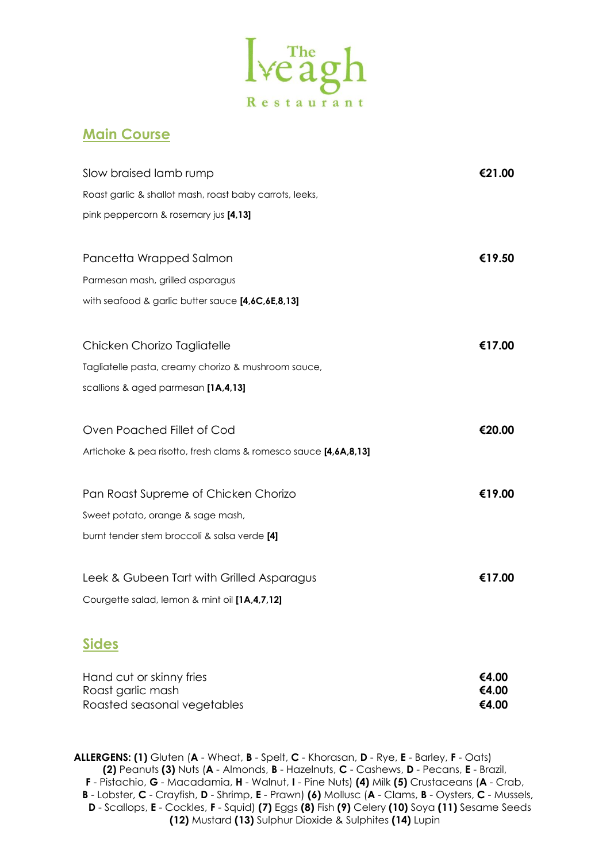

## **Main Course**

| Slow braised lamb rump                                           | €21.00 |
|------------------------------------------------------------------|--------|
| Roast garlic & shallot mash, roast baby carrots, leeks,          |        |
| pink peppercorn & rosemary jus [4,13]                            |        |
| Pancetta Wrapped Salmon                                          | €19.50 |
| Parmesan mash, grilled asparagus                                 |        |
| with seafood & garlic butter sauce [4,6C,6E,8,13]                |        |
| Chicken Chorizo Tagliatelle                                      | €17.00 |
| Tagliatelle pasta, creamy chorizo & mushroom sauce,              |        |
| scallions & aged parmesan [1A,4,13]                              |        |
| Oven Poached Fillet of Cod                                       | €20.00 |
| Artichoke & pea risotto, fresh clams & romesco sauce [4,6A,8,13] |        |
| Pan Roast Supreme of Chicken Chorizo                             | €19.00 |
| Sweet potato, orange & sage mash,                                |        |
| burnt tender stem broccoli & salsa verde [4]                     |        |
| Leek & Gubeen Tart with Grilled Asparagus                        | €17.00 |
| Courgette salad, lemon & mint oil [1A,4,7,12]                    |        |
| <b>Sides</b>                                                     |        |

| Hand cut or skinny fries    | €4.00 |
|-----------------------------|-------|
| Roast garlic mash           | €4.00 |
| Roasted seasonal vegetables | €4.00 |

**ALLERGENS: (1)** Gluten (**A** - Wheat, **B** - Spelt, **C** - Khorasan, **D** - Rye, **E** - Barley, **F** - Oats) **(2)** Peanuts **(3)** Nuts (**A** - Almonds, **B** - Hazelnuts, **C** - Cashews, **D** - Pecans, **E** - Brazil, **F** - Pistachio, **G** - Macadamia, **H** - Walnut, **I** - Pine Nuts) **(4)** Milk **(5)** Crustaceans (**A** - Crab, **B** - Lobster, **C** - Crayfish, **D** - Shrimp, **E** - Prawn) **(6)** Mollusc (**A** - Clams, **B** - Oysters, **C** - Mussels, **D** - Scallops, **E** - Cockles, **F** - Squid) **(7)** Eggs **(8)** Fish **(9)** Celery **(10)** Soya **(11)** Sesame Seeds **(12)** Mustard **(13)** Sulphur Dioxide & Sulphites **(14)** Lupin